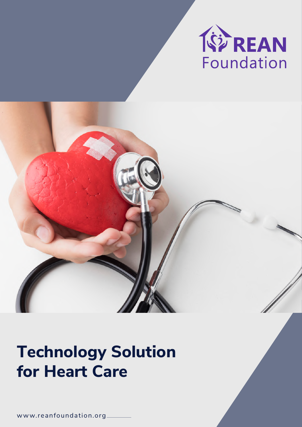

# **Technology Solution for Heart Care**

w ww.reanfoundation.org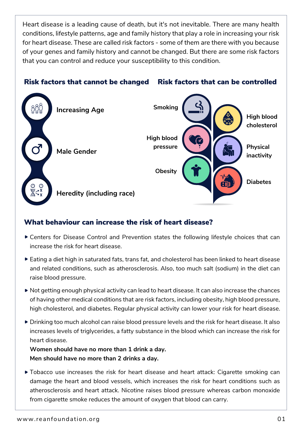Heart disease is a leading cause of death, but it's not inevitable. There are many health conditions, lifestyle patterns, age and family history that play a role in increasing your risk for heart disease. These are called risk factors - some of them are there with you because of your genes and family history and cannot be changed. But there are some risk factors that you can control and reduce your susceptibility to this condition.

## Risk factors that cannot be changed Risk factors that can be controlled



# What behaviour can increase the risk of heart disease?

- Centers for Disease Control and Prevention states the following lifestyle choices that can increase the risk for heart disease.
- Eating a diet high in saturated fats, trans fat, and cholesterol has been linked to heart disease and related conditions, such as atherosclerosis. Also, too much salt (sodium) in the diet can raise blood pressure.
- Not getting enough physical activity can lead to heart disease. It can also increase the chances of having other medical conditions that are risk factors, including obesity, high blood pressure, high cholesterol, and diabetes. Regular physical activity can lower your risk for heart disease.
- Drinking too much alcohol can raise blood pressure levels and the risk for heart disease. It also increases levels of triglycerides, a fatty substance in the blood which can increase the risk for heart disease.

**Women should have no more than 1 drink a day. Men should have no more than 2 drinks a day.**

Tobacco use increases the risk for heart disease and heart attack: Cigarette smoking can damage the heart and blood vessels, which increases the risk for heart conditions such as atherosclerosis and heart attack. Nicotine raises blood pressure whereas carbon monoxide from cigarette smoke reduces the amount of oxygen that blood can carry.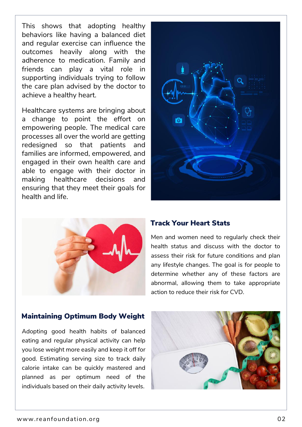This shows that adopting healthy behaviors like having a balanced diet and regular exercise can influence the outcomes heavily along with the adherence to medication. Family and friends can play a vital role in supporting individuals trying to follow the care plan advised by the doctor to achieve a healthy heart.

Healthcare systems are bringing about a change to point the effort on empowering people. The medical care processes all over the world are getting redesigned so that patients and families are informed, empowered, and engaged in their own health care and able to engage with their doctor in making healthcare decisions and ensuring that they meet their goals for health and life.





#### Track Your Heart Stats

Men and women need to regularly check their health status and discuss with the doctor to assess their risk for future conditions and plan any lifestyle changes. The goal is for people to determine whether any of these factors are abnormal, allowing them to take appropriate action to reduce their risk for CVD.

#### Maintaining Optimum Body Weight

Adopting good health habits of balanced eating and regular physical activity can help you lose weight more easily and keep it off for good. Estimating serving size to track daily calorie intake can be quickly mastered and planned as per optimum need of the individuals based on their daily activity levels.